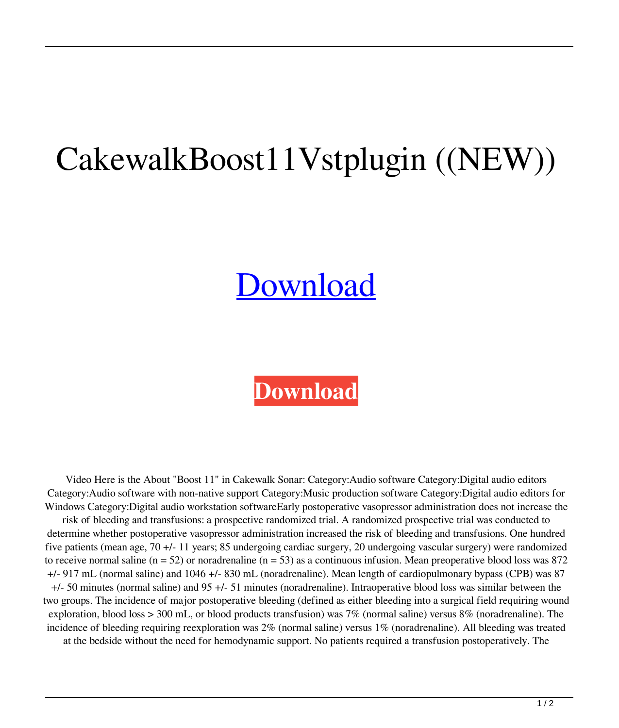## CakewalkBoost11Vstplugin ((NEW))

## **[Download](https://fancli.com/2kzr7t)**

## **[Download](https://fancli.com/2kzr7t)**

Video Here is the About "Boost 11" in Cakewalk Sonar: Category:Audio software Category:Digital audio editors Category:Audio software with non-native support Category:Music production software Category:Digital audio editors for Windows Category:Digital audio workstation softwareEarly postoperative vasopressor administration does not increase the risk of bleeding and transfusions: a prospective randomized trial. A randomized prospective trial was conducted to determine whether postoperative vasopressor administration increased the risk of bleeding and transfusions. One hundred five patients (mean age, 70 +/- 11 years; 85 undergoing cardiac surgery, 20 undergoing vascular surgery) were randomized to receive normal saline  $(n = 52)$  or noradrenaline  $(n = 53)$  as a continuous infusion. Mean preoperative blood loss was 872 +/- 917 mL (normal saline) and 1046 +/- 830 mL (noradrenaline). Mean length of cardiopulmonary bypass (CPB) was 87 +/- 50 minutes (normal saline) and 95 +/- 51 minutes (noradrenaline). Intraoperative blood loss was similar between the two groups. The incidence of major postoperative bleeding (defined as either bleeding into a surgical field requiring wound exploration, blood loss > 300 mL, or blood products transfusion) was 7% (normal saline) versus 8% (noradrenaline). The incidence of bleeding requiring reexploration was 2% (normal saline) versus 1% (noradrenaline). All bleeding was treated at the bedside without the need for hemodynamic support. No patients required a transfusion postoperatively. The